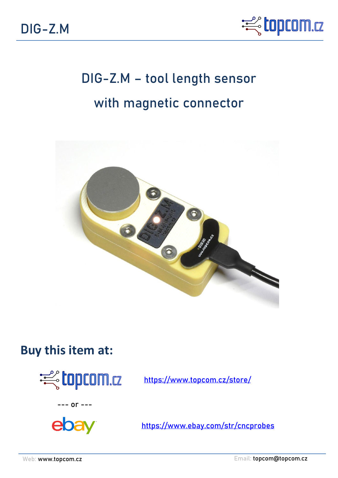

# **DIG-Z.M – tool length sensor with magnetic connector**



## **Buy this item at:**



<https://www.topcom.cz/store/>





<https://www.ebay.com/str/cncprobes>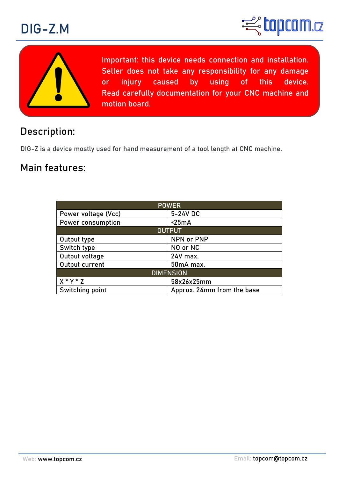





**Important: this device needs connection and installation. Seller does not take any responsibility for any damage or injury caused by using of this device. Read carefully documentation for your CNC machine and motion board.**

## **Description:**

DIG-Z is a device mostly used for hand measurement of a tool length at CNC machine.

## **Main features:**

| <b>POWER</b>        |                            |
|---------------------|----------------------------|
| Power voltage (Vcc) | 5-24V DC                   |
| Power consumption   | $\leq$ 25mA                |
| <b>OUTPUT</b>       |                            |
| Output type         | NPN or PNP                 |
| Switch type         | NO or NC                   |
| Output voltage      | 24V max.                   |
| Output current      | 50mA max.                  |
| <b>DIMENSION</b>    |                            |
| $X * Y * Z$         | 58x26x25mm                 |
| Switching point     | Approx. 24mm from the base |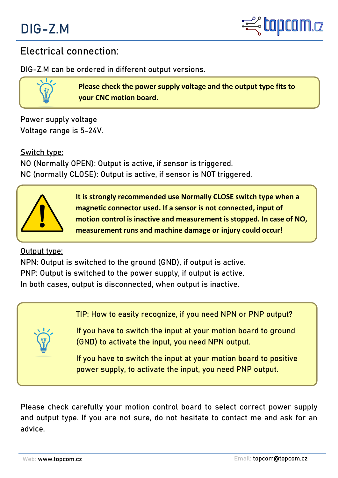



### **Electrical connection:**

DIG-Z.M can be ordered in different output versions.

**Please check the power supply voltage and the output type fits to your CNC motion board.**

**Power supply voltage** Voltage range is **5-24V.**

**Switch type: NO** (Normally OPEN): Output is active, if sensor is triggered. **NC** (normally CLOSE): Output is active, if sensor is NOT triggered.



**It is strongly recommended use Normally CLOSE switch type when a magnetic connector used. If a sensor is not connected, input of motion control is inactive and measurement is stopped. In case of NO, measurement runs and machine damage or injury could occur!** 

**Output type:**

**NPN:** Output is switched to the ground (GND), if output is active.

**PNP:** Output is switched to the power supply, if output is active.

In both cases, output is disconnected, when output is inactive.

**TIP: How to easily recognize, if you need NPN or PNP output?**

If you have to switch the input at your motion board **to ground (GND)** to activate the input, you need **NPN output**.

If you have to switch the input at your motion board **to positive power supply**, to activate the input, you need **PNP output.**

Please check carefully your motion control board to select correct power supply and output type. If you are not sure, do not hesitate to contact me and ask for an advice.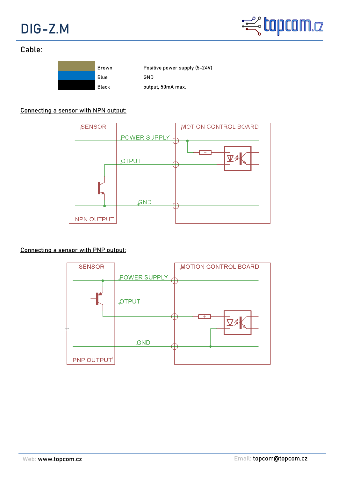



#### **Cable:**



#### **Connecting a sensor with NPN output:**



#### **Connecting a sensor with PNP output:**